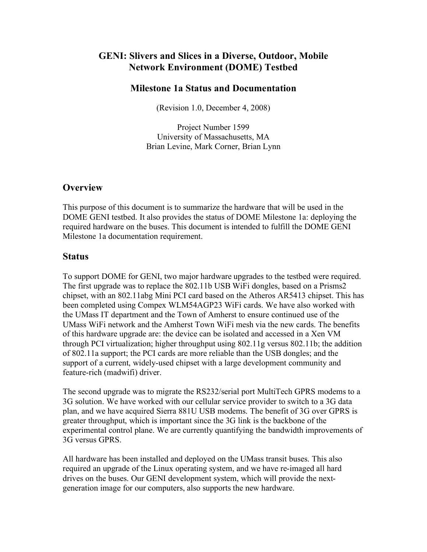# **GENI: Slivers and Slices in a Diverse, Outdoor, Mobile Network Environment (DOME) Testbed**

### **Milestone 1a Status and Documentation**

(Revision 1.0, December 4, 2008)

Project Number 1599 University of Massachusetts, MA Brian Levine, Mark Corner, Brian Lynn

## **Overview**

This purpose of this document is to summarize the hardware that will be used in the DOME GENI testbed. It also provides the status of DOME Milestone 1a: deploying the required hardware on the buses. This document is intended to fulfill the DOME GENI Milestone 1a documentation requirement.

### **Status**

To support DOME for GENI, two major hardware upgrades to the testbed were required. The first upgrade was to replace the 802.11b USB WiFi dongles, based on a Prisms2 chipset, with an 802.11abg Mini PCI card based on the Atheros AR5413 chipset. This has been completed using Compex WLM54AGP23 WiFi cards. We have also worked with the UMass IT department and the Town of Amherst to ensure continued use of the UMass WiFi network and the Amherst Town WiFi mesh via the new cards. The benefits of this hardware upgrade are: the device can be isolated and accessed in a Xen VM through PCI virtualization; higher throughput using 802.11g versus 802.11b; the addition of 802.11a support; the PCI cards are more reliable than the USB dongles; and the support of a current, widely-used chipset with a large development community and feature-rich (madwifi) driver.

The second upgrade was to migrate the RS232/serial port MultiTech GPRS modems to a 3G solution. We have worked with our cellular service provider to switch to a 3G data plan, and we have acquired Sierra 881U USB modems. The benefit of 3G over GPRS is greater throughput, which is important since the 3G link is the backbone of the experimental control plane. We are currently quantifying the bandwidth improvements of 3G versus GPRS.

All hardware has been installed and deployed on the UMass transit buses. This also required an upgrade of the Linux operating system, and we have re-imaged all hard drives on the buses. Our GENI development system, which will provide the nextgeneration image for our computers, also supports the new hardware.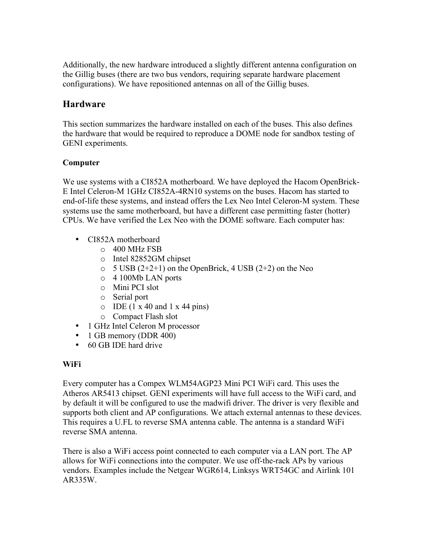Additionally, the new hardware introduced a slightly different antenna configuration on the Gillig buses (there are two bus vendors, requiring separate hardware placement configurations). We have repositioned antennas on all of the Gillig buses.

## **Hardware**

This section summarizes the hardware installed on each of the buses. This also defines the hardware that would be required to reproduce a DOME node for sandbox testing of GENI experiments.

## **Computer**

We use systems with a CI852A motherboard. We have deployed the Hacom OpenBrick-E Intel Celeron-M 1GHz CI852A-4RN10 systems on the buses. Hacom has started to end-of-life these systems, and instead offers the Lex Neo Intel Celeron-M system. These systems use the same motherboard, but have a different case permitting faster (hotter) CPUs. We have verified the Lex Neo with the DOME software. Each computer has:

- CI852A motherboard
	- o 400 MHz FSB
	- o Intel 82852GM chipset
	- $\circ$  5 USB (2+2+1) on the OpenBrick, 4 USB (2+2) on the Neo
	- o 4 100Mb LAN ports
	- o Mini PCI slot
	- o Serial port
	- $O$  IDE (1 x 40 and 1 x 44 pins)
	- o Compact Flash slot
- 1 GHz Intel Celeron M processor
- 1 GB memory (DDR 400)
- 60 GB IDE hard drive

### **WiFi**

Every computer has a Compex WLM54AGP23 Mini PCI WiFi card. This uses the Atheros AR5413 chipset. GENI experiments will have full access to the WiFi card, and by default it will be configured to use the madwifi driver. The driver is very flexible and supports both client and AP configurations. We attach external antennas to these devices. This requires a U.FL to reverse SMA antenna cable. The antenna is a standard WiFi reverse SMA antenna.

There is also a WiFi access point connected to each computer via a LAN port. The AP allows for WiFi connections into the computer. We use off-the-rack APs by various vendors. Examples include the Netgear WGR614, Linksys WRT54GC and Airlink 101 AR335W.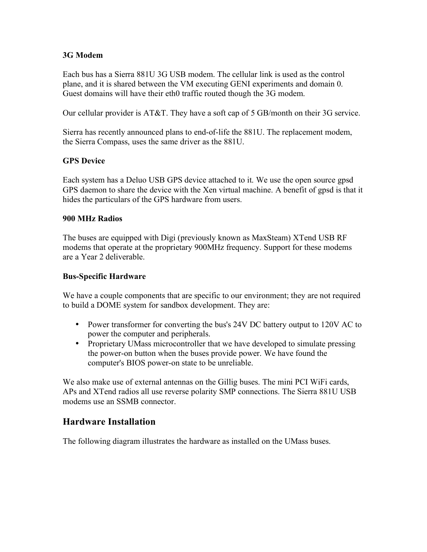### **3G Modem**

Each bus has a Sierra 881U 3G USB modem. The cellular link is used as the control plane, and it is shared between the VM executing GENI experiments and domain 0. Guest domains will have their eth0 traffic routed though the 3G modem.

Our cellular provider is AT&T. They have a soft cap of 5 GB/month on their 3G service.

Sierra has recently announced plans to end-of-life the 881U. The replacement modem, the Sierra Compass, uses the same driver as the 881U.

### **GPS Device**

Each system has a Deluo USB GPS device attached to it. We use the open source gpsd GPS daemon to share the device with the Xen virtual machine. A benefit of gpsd is that it hides the particulars of the GPS hardware from users.

#### **900 MHz Radios**

The buses are equipped with Digi (previously known as MaxSteam) XTend USB RF modems that operate at the proprietary 900MHz frequency. Support for these modems are a Year 2 deliverable.

#### **Bus-Specific Hardware**

We have a couple components that are specific to our environment; they are not required to build a DOME system for sandbox development. They are:

- Power transformer for converting the bus's 24V DC battery output to 120V AC to power the computer and peripherals.
- Proprietary UMass microcontroller that we have developed to simulate pressing the power-on button when the buses provide power. We have found the computer's BIOS power-on state to be unreliable.

We also make use of external antennas on the Gillig buses. The mini PCI WiFi cards, APs and XTend radios all use reverse polarity SMP connections. The Sierra 881U USB modems use an SSMB connector.

## **Hardware Installation**

The following diagram illustrates the hardware as installed on the UMass buses.